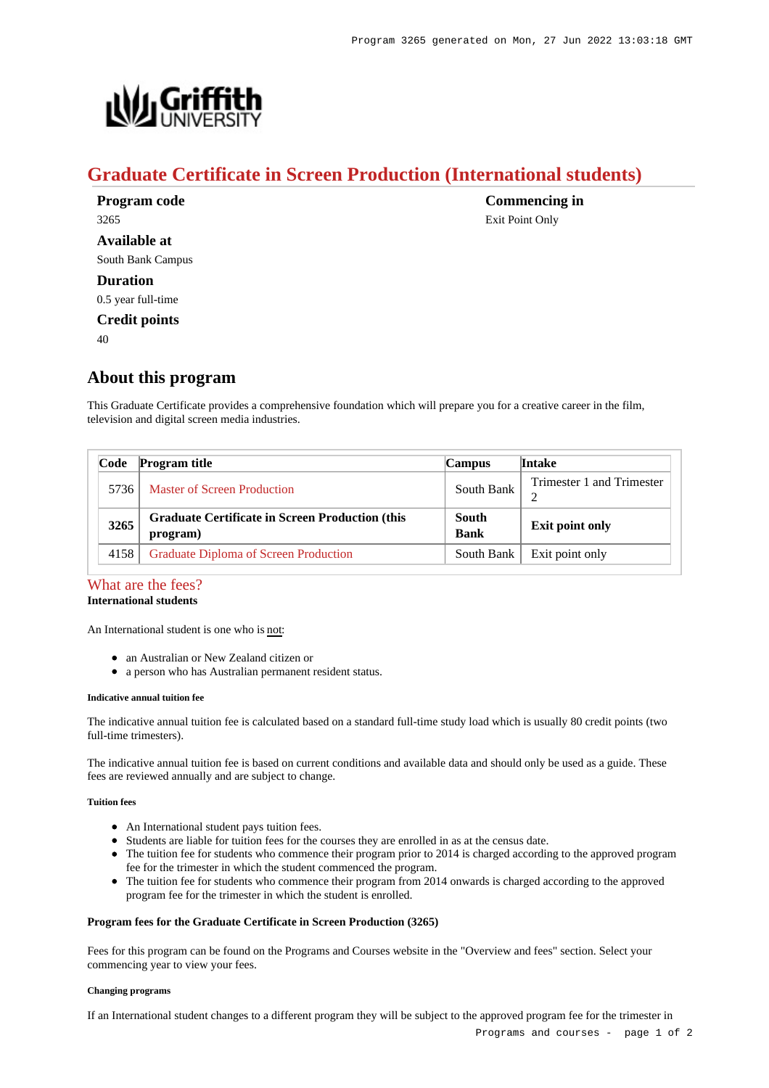

# **Graduate Certificate in Screen Production (International students)**

**Program code** 3265 **Available at** South Bank Campus **Duration** 0.5 year full-time **Credit points**

 $40$ 

# **About this program**

This Graduate Certificate provides a comprehensive foundation which will prepare you for a creative career in the film, television and digital screen media industries.

| Code | <b>Program title</b>                                               | Campus                      | <b>Intake</b>             |
|------|--------------------------------------------------------------------|-----------------------------|---------------------------|
| 5736 | Master of Screen Production                                        | South Bank                  | Trimester 1 and Trimester |
| 3265 | <b>Graduate Certificate in Screen Production (this</b><br>program) | <b>South</b><br><b>Bank</b> | <b>Exit point only</b>    |
| 4158 | Graduate Diploma of Screen Production                              | South Bank                  | Exit point only           |

## [What are the fees?](https://www148.griffith.edu.au/programs-courses/Program/3265/Overview/International#fees) **International students**

An International student is one who is not:

- an Australian or New Zealand citizen or
- a person who has Australian permanent resident status.

#### **Indicative annual tuition fee**

The indicative annual tuition fee is calculated based on a standard full-time study load which is usually 80 credit points (two full-time trimesters).

The indicative annual tuition fee is based on current conditions and available data and should only be used as a guide. These fees are reviewed annually and are subject to change.

## **Tuition fees**

- An International student pays tuition fees.
- Students are liable for tuition fees for the courses they are enrolled in as at the census date.
- The tuition fee for students who commence their program prior to 2014 is charged according to the approved program fee for the trimester in which the student commenced the program.
- The tuition fee for students who commence their program from 2014 onwards is charged according to the approved program fee for the trimester in which the student is enrolled.

#### **Program fees for the Graduate Certificate in Screen Production (3265)**

Fees for this program can be found on the Programs and Courses website in the "Overview and fees" section. Select your commencing year to view your fees.

#### **Changing programs**

If an International student changes to a different program they will be subject to the approved program fee for the trimester in

**Commencing in** Exit Point Only